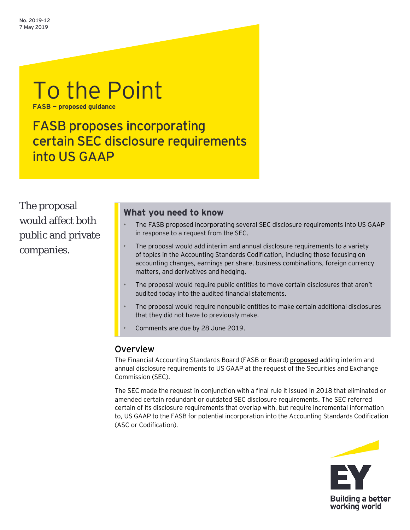# To the Point **FASB — proposed guidance**

FASB proposes incorporating certain SEC disclosure requirements into US GAAP

The proposal would affect both public and private companies.

# **What you need to know**

- The FASB proposed incorporating several SEC disclosure requirements into US GAAP in response to a request from the SEC.
- The proposal would add interim and annual disclosure requirements to a variety of topics in the Accounting Standards Codification, including those focusing on accounting changes, earnings per share, business combinations, foreign currency matters, and derivatives and hedging.
- The proposal would require public entities to move certain disclosures that aren't audited today into the audited financial statements.
- The proposal would require nonpublic entities to make certain additional disclosures that they did not have to previously make.
- Comments are due by 28 June 2019.

### Overview

The Financial Accounting Standards Board (FASB or Board) **[proposed](https://www.fasb.org/jsp/FASB/Document_C/DocumentPage?cid=1176172611572&acceptedDisclaimer=true)** adding interim and annual disclosure requirements to US GAAP at the request of the Securities and Exchange Commission (SEC).

The SEC made the request in conjunction with a final rule it issued in 2018 that eliminated or amended certain redundant or outdated SEC disclosure requirements. The SEC referred certain of its disclosure requirements that overlap with, but require incremental information to, US GAAP to the FASB for potential incorporation into the Accounting Standards Codification (ASC or Codification).

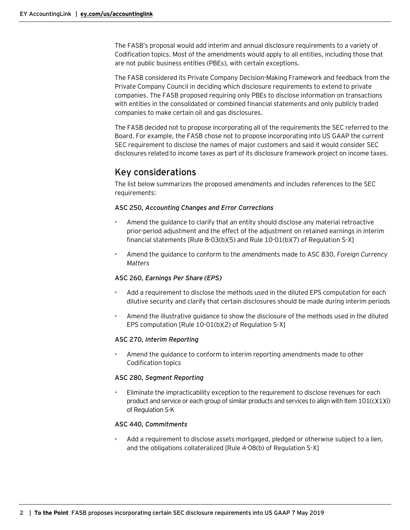The FASB's proposal would add interim and annual disclosure requirements to a variety of Codification topics. Most of the amendments would apply to all entities, including those that are not public business entities (PBEs), with certain exceptions.

The FASB considered its Private Company Decision-Making Framework and feedback from the Private Company Council in deciding which disclosure requirements to extend to private companies. The FASB proposed requiring only PBEs to disclose information on transactions with entities in the consolidated or combined financial statements and only publicly traded companies to make certain oil and gas disclosures.

The FASB decided not to propose incorporating all of the requirements the SEC referred to the Board. For example, the FASB chose not to propose incorporating into US GAAP the current SEC requirement to disclose the names of major customers and said it would consider SEC disclosures related to income taxes as part of its disclosure framework project on income taxes.

# Key considerations

The list below summarizes the proposed amendments and includes references to the SEC requirements:

#### **ASC 250,** *Accounting Changes and Error Corrections*

- Amend the guidance to clarify that an entity should disclose any material retroactive prior-period adjustment and the effect of the adjustment on retained earnings in interim financial statements [Rule 8-03(b)(5) and Rule 10-01(b)(7) of Regulation S-X]
- Amend the guidance to conform to the amendments made to ASC 830, *Foreign Currency Matters*

#### **ASC 260,** *Earnings Per Share (EPS)*

- Add a requirement to disclose the methods used in the diluted EPS computation for each dilutive security and clarify that certain disclosures should be made during interim periods
- Amend the illustrative guidance to show the disclosure of the methods used in the diluted EPS computation [Rule 10-01(b)(2) of Regulation S-X]

#### **ASC 270,** *Interim Reporting*

• Amend the guidance to conform to interim reporting amendments made to other Codification topics

#### **ASC 280,** *Segment Reporting*

• Eliminate the impracticability exception to the requirement to disclose revenues for each product and service or each group of similar products and services to align with Item 101(c)(1)(i) of Regulation S-K

#### **ASC 440,** *Commitments*

• Add a requirement to disclose assets mortgaged, pledged or otherwise subject to a lien, and the obligations collateralized [Rule 4-08(b) of Regulation S-X]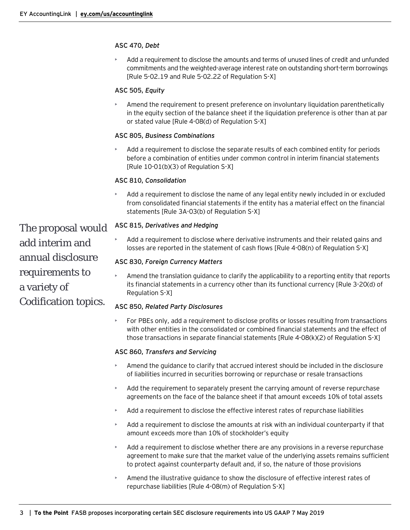#### **ASC 470,** *Debt*

• Add a requirement to disclose the amounts and terms of unused lines of credit and unfunded commitments and the weighted-average interest rate on outstanding short-term borrowings [Rule 5-02.19 and Rule 5-02.22 of Regulation S-X]

#### **ASC 505,** *Equity*

• Amend the requirement to present preference on involuntary liquidation parenthetically in the equity section of the balance sheet if the liquidation preference is other than at par or stated value [Rule 4-08(d) of Regulation S-X]

#### **ASC 805,** *Business Combinations*

• Add a requirement to disclose the separate results of each combined entity for periods before a combination of entities under common control in interim financial statements [Rule 10-01(b)(3) of Regulation S-X]

#### **ASC 810,** *Consolidation*

• Add a requirement to disclose the name of any legal entity newly included in or excluded from consolidated financial statements if the entity has a material effect on the financial statements [Rule 3A-03(b) of Regulation S-X]

**ASC 815,** *Derivatives and Hedging*

• Add a requirement to disclose where derivative instruments and their related gains and losses are reported in the statement of cash flows [Rule 4-08(n) of Regulation S-X]

#### **ASC 830,** *Foreign Currency Matters*

• Amend the translation guidance to clarify the applicability to a reporting entity that reports its financial statements in a currency other than its functional currency [Rule 3-20(d) of Regulation S-X]

#### **ASC 850,** *Related Party Disclosures*

• For PBEs only, add a requirement to disclose profits or losses resulting from transactions with other entities in the consolidated or combined financial statements and the effect of those transactions in separate financial statements [Rule 4-08(k)(2) of Regulation S-X]

#### **ASC 860,** *Transfers and Servicing*

- Amend the guidance to clarify that accrued interest should be included in the disclosure of liabilities incurred in securities borrowing or repurchase or resale transactions
- Add the requirement to separately present the carrying amount of reverse repurchase agreements on the face of the balance sheet if that amount exceeds 10% of total assets
- Add a requirement to disclose the effective interest rates of repurchase liabilities
- Add a requirement to disclose the amounts at risk with an individual counterparty if that amount exceeds more than 10% of stockholder's equity
- Add a requirement to disclose whether there are any provisions in a reverse repurchase agreement to make sure that the market value of the underlying assets remains sufficient to protect against counterparty default and, if so, the nature of those provisions
- Amend the illustrative guidance to show the disclosure of effective interest rates of repurchase liabilities [Rule 4-08(m) of Regulation S-X]

The proposal would add interim and annual disclosure requirements to a variety of Codification topics.